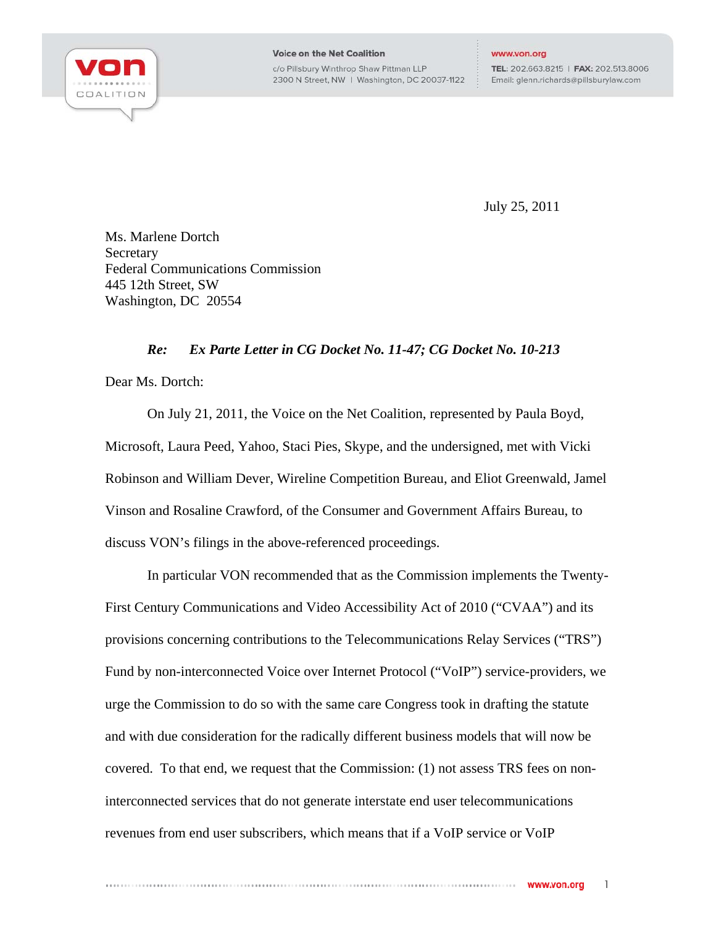

**Voice on the Net Coalition** c/o Pillsbury Winthrop Shaw Pittman LLP 2300 N Street, NW | Washington, DC 20037-1122

TEL: 202.663.8215 | FAX: 202.513.8006 Email: glenn.richards@pillsburylaw.com

July 25, 2011

Ms. Marlene Dortch Secretary Federal Communications Commission 445 12th Street, SW Washington, DC 20554

## *Re: Ex Parte Letter in CG Docket No. 11-47; CG Docket No. 10-213*

Dear Ms. Dortch:

On July 21, 2011, the Voice on the Net Coalition, represented by Paula Boyd, Microsoft, Laura Peed, Yahoo, Staci Pies, Skype, and the undersigned, met with Vicki Robinson and William Dever, Wireline Competition Bureau, and Eliot Greenwald, Jamel Vinson and Rosaline Crawford, of the Consumer and Government Affairs Bureau, to discuss VON's filings in the above-referenced proceedings.

In particular VON recommended that as the Commission implements the Twenty-First Century Communications and Video Accessibility Act of 2010 ("CVAA") and its provisions concerning contributions to the Telecommunications Relay Services ("TRS") Fund by non-interconnected Voice over Internet Protocol ("VoIP") service-providers, we urge the Commission to do so with the same care Congress took in drafting the statute and with due consideration for the radically different business models that will now be covered. To that end, we request that the Commission: (1) not assess TRS fees on noninterconnected services that do not generate interstate end user telecommunications revenues from end user subscribers, which means that if a VoIP service or VoIP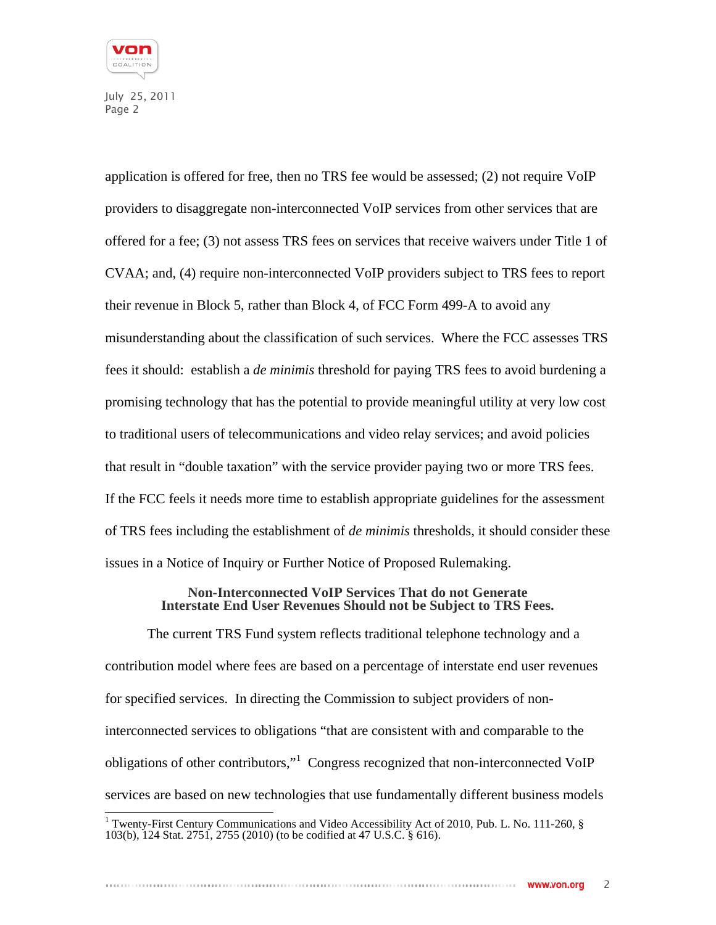

application is offered for free, then no TRS fee would be assessed; (2) not require VoIP providers to disaggregate non-interconnected VoIP services from other services that are offered for a fee; (3) not assess TRS fees on services that receive waivers under Title 1 of CVAA; and, (4) require non-interconnected VoIP providers subject to TRS fees to report their revenue in Block 5, rather than Block 4, of FCC Form 499-A to avoid any misunderstanding about the classification of such services. Where the FCC assesses TRS fees it should: establish a *de minimis* threshold for paying TRS fees to avoid burdening a promising technology that has the potential to provide meaningful utility at very low cost to traditional users of telecommunications and video relay services; and avoid policies that result in "double taxation" with the service provider paying two or more TRS fees. If the FCC feels it needs more time to establish appropriate guidelines for the assessment of TRS fees including the establishment of *de minimis* thresholds, it should consider these issues in a Notice of Inquiry or Further Notice of Proposed Rulemaking.

#### **Non-Interconnected VoIP Services That do not Generate Interstate End User Revenues Should not be Subject to TRS Fees.**

The current TRS Fund system reflects traditional telephone technology and a contribution model where fees are based on a percentage of interstate end user revenues for specified services. In directing the Commission to subject providers of noninterconnected services to obligations "that are consistent with and comparable to the obligations of other contributors,"<sup>1</sup> Congress recognized that non-interconnected VoIP services are based on new technologies that use fundamentally different business models

 1 Twenty-First Century Communications and Video Accessibility Act of 2010, Pub. L. No. 111-260, § 103(b), 124 Stat. 2751, 2755 (2010) (to be codified at 47 U.S.C. § 616).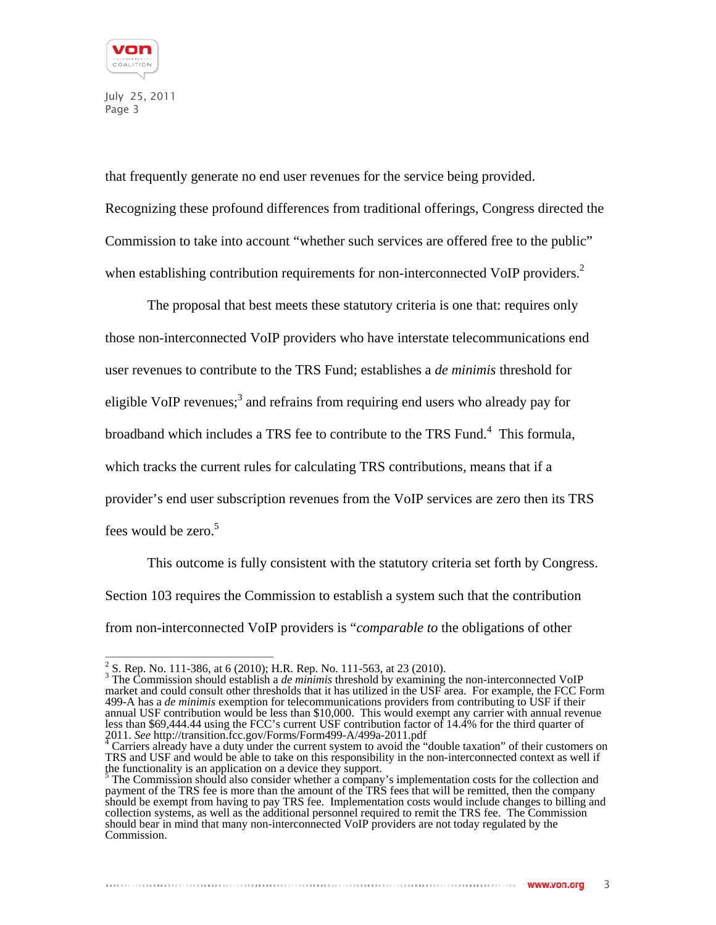

that frequently generate no end user revenues for the service being provided. Recognizing these profound differences from traditional offerings, Congress directed the Commission to take into account "whether such services are offered free to the public" when establishing contribution requirements for non-interconnected VoIP providers.<sup>2</sup>

The proposal that best meets these statutory criteria is one that: requires only those non-interconnected VoIP providers who have interstate telecommunications end user revenues to contribute to the TRS Fund; establishes a *de minimis* threshold for eligible VoIP revenues;<sup>3</sup> and refrains from requiring end users who already pay for broadband which includes a TRS fee to contribute to the TRS Fund.<sup>4</sup> This formula, which tracks the current rules for calculating TRS contributions, means that if a provider's end user subscription revenues from the VoIP services are zero then its TRS fees would be zero.<sup>5</sup>

This outcome is fully consistent with the statutory criteria set forth by Congress. Section 103 requires the Commission to establish a system such that the contribution from non-interconnected VoIP providers is "*comparable to* the obligations of other

<sup>&</sup>lt;sup>2</sup> S. Rep. No. 111-386, at 6 (2010); H.R. Rep. No. 111-563, at 23 (2010).<br><sup>3</sup> The Commission should establish a *de minimis* threshold by examining the non-interconnected VoIP market and could consult other thresholds that it has utilized in the USF area. For example, the FCC Form 499-A has a *de minimis* exemption for telecommunications providers from contributing to USF if their annual USF contribution would be less than \$10,000. This would exempt any carrier with annual revenue less than \$69,444.44 using the FCC's current USF contribution factor of 14.4% for the third quarter of 2011. See http://transition.fcc.gov/Forms/Form499-A/499a-2011.pdf<br><sup>4</sup> Carriers already have a duty under the current system to avoid the "double taxation" of their customers on

TRS and USF and would be able to take on this responsibility in the non-interconnected context as well if the functionality is an application on a device they support.<br>The Commission should also consider whether a company's implementation costs for the collection and

payment of the TRS fee is more than the amount of the TRS fees that will be remitted, then the company should be exempt from having to pay TRS fee. Implementation costs would include changes to billing and collection systems, as well as the additional personnel required to remit the TRS fee. The Commission should bear in mind that many non-interconnected VoIP providers are not today regulated by the Commission.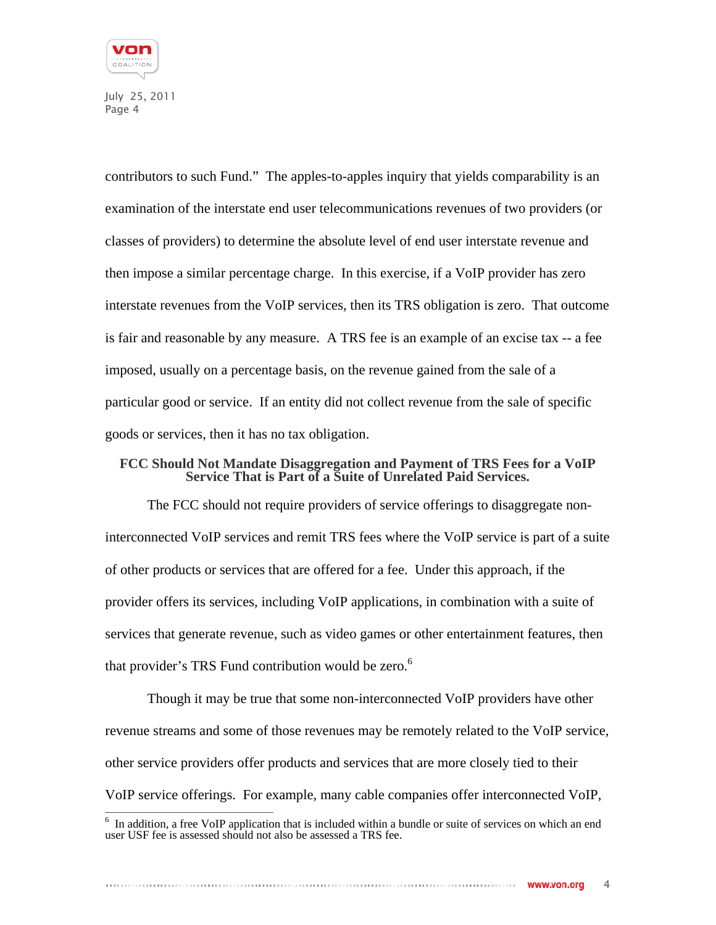

contributors to such Fund." The apples-to-apples inquiry that yields comparability is an examination of the interstate end user telecommunications revenues of two providers (or classes of providers) to determine the absolute level of end user interstate revenue and then impose a similar percentage charge. In this exercise, if a VoIP provider has zero interstate revenues from the VoIP services, then its TRS obligation is zero. That outcome is fair and reasonable by any measure. A TRS fee is an example of an excise tax -- a fee imposed, usually on a percentage basis, on the revenue gained from the sale of a particular good or service. If an entity did not collect revenue from the sale of specific goods or services, then it has no tax obligation.

### **FCC Should Not Mandate Disaggregation and Payment of TRS Fees for a VoIP Service That is Part of a Suite of Unrelated Paid Services.**

The FCC should not require providers of service offerings to disaggregate noninterconnected VoIP services and remit TRS fees where the VoIP service is part of a suite of other products or services that are offered for a fee. Under this approach, if the provider offers its services, including VoIP applications, in combination with a suite of services that generate revenue, such as video games or other entertainment features, then that provider's TRS Fund contribution would be zero. $6$ 

Though it may be true that some non-interconnected VoIP providers have other revenue streams and some of those revenues may be remotely related to the VoIP service, other service providers offer products and services that are more closely tied to their VoIP service offerings. For example, many cable companies offer interconnected VoIP,

<sup>&</sup>lt;sup>6</sup> In addition, a free VoIP application that is included within a bundle or suite of services on which an end user USF fee is assessed should not also be assessed a TRS fee.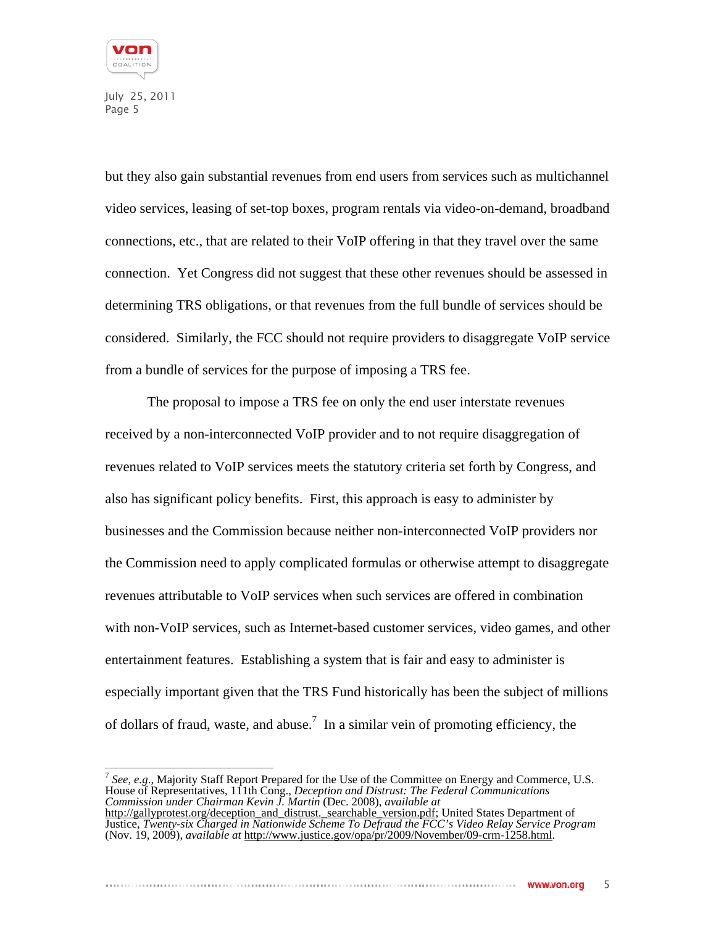

but they also gain substantial revenues from end users from services such as multichannel video services, leasing of set-top boxes, program rentals via video-on-demand, broadband connections, etc., that are related to their VoIP offering in that they travel over the same connection. Yet Congress did not suggest that these other revenues should be assessed in determining TRS obligations, or that revenues from the full bundle of services should be considered. Similarly, the FCC should not require providers to disaggregate VoIP service from a bundle of services for the purpose of imposing a TRS fee.

The proposal to impose a TRS fee on only the end user interstate revenues received by a non-interconnected VoIP provider and to not require disaggregation of revenues related to VoIP services meets the statutory criteria set forth by Congress, and also has significant policy benefits. First, this approach is easy to administer by businesses and the Commission because neither non-interconnected VoIP providers nor the Commission need to apply complicated formulas or otherwise attempt to disaggregate revenues attributable to VoIP services when such services are offered in combination with non-VoIP services, such as Internet-based customer services, video games, and other entertainment features. Establishing a system that is fair and easy to administer is especially important given that the TRS Fund historically has been the subject of millions of dollars of fraud, waste, and abuse.<sup>7</sup> In a similar vein of promoting efficiency, the

 <sup>7</sup> *See, e.g*., Majority Staff Report Prepared for the Use of the Committee on Energy and Commerce, U.S. House of Representatives, 111th Cong., *Deception and Distrust: The Federal Communications Commission under Chairman Kevin J. Martin* (Dec. 2008), *available at*  http://gallyprotest.org/deception\_and\_distrust.\_searchable\_version.pdf; United States Department of Justice, *Twenty-six Charged in Nationwide Scheme To Defraud the FCC's Video Relay Service Program*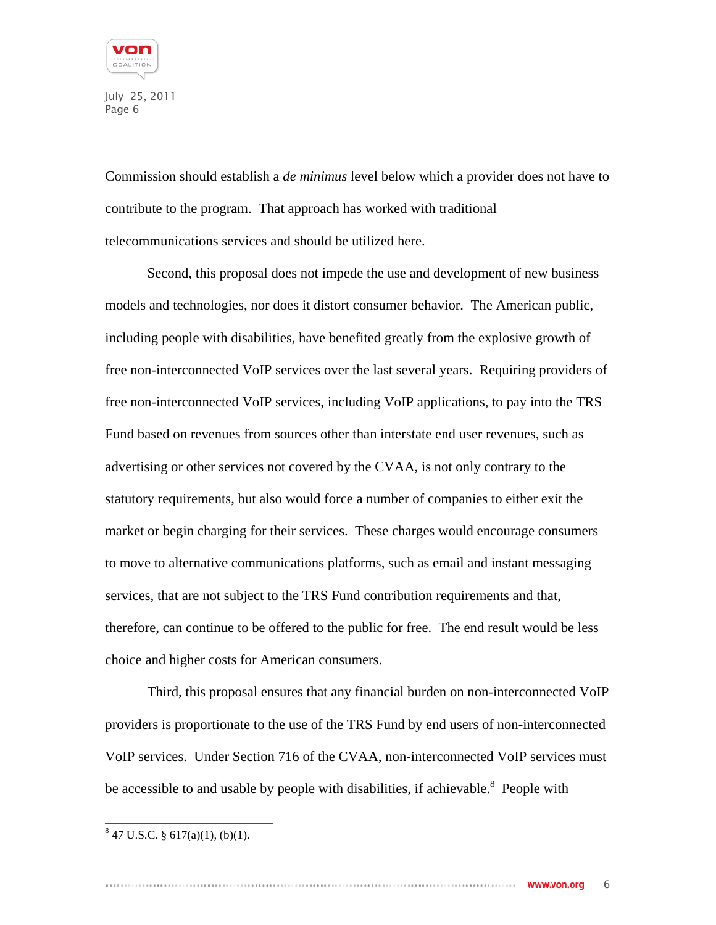

Commission should establish a *de minimus* level below which a provider does not have to contribute to the program. That approach has worked with traditional telecommunications services and should be utilized here.

Second, this proposal does not impede the use and development of new business models and technologies, nor does it distort consumer behavior. The American public, including people with disabilities, have benefited greatly from the explosive growth of free non-interconnected VoIP services over the last several years. Requiring providers of free non-interconnected VoIP services, including VoIP applications, to pay into the TRS Fund based on revenues from sources other than interstate end user revenues, such as advertising or other services not covered by the CVAA, is not only contrary to the statutory requirements, but also would force a number of companies to either exit the market or begin charging for their services. These charges would encourage consumers to move to alternative communications platforms, such as email and instant messaging services, that are not subject to the TRS Fund contribution requirements and that, therefore, can continue to be offered to the public for free. The end result would be less choice and higher costs for American consumers.

Third, this proposal ensures that any financial burden on non-interconnected VoIP providers is proportionate to the use of the TRS Fund by end users of non-interconnected VoIP services. Under Section 716 of the CVAA, non-interconnected VoIP services must be accessible to and usable by people with disabilities, if achievable.<sup>8</sup> People with

 $8\overline{47 \text{ U.S.C. } } 617(a)(1), (b)(1).$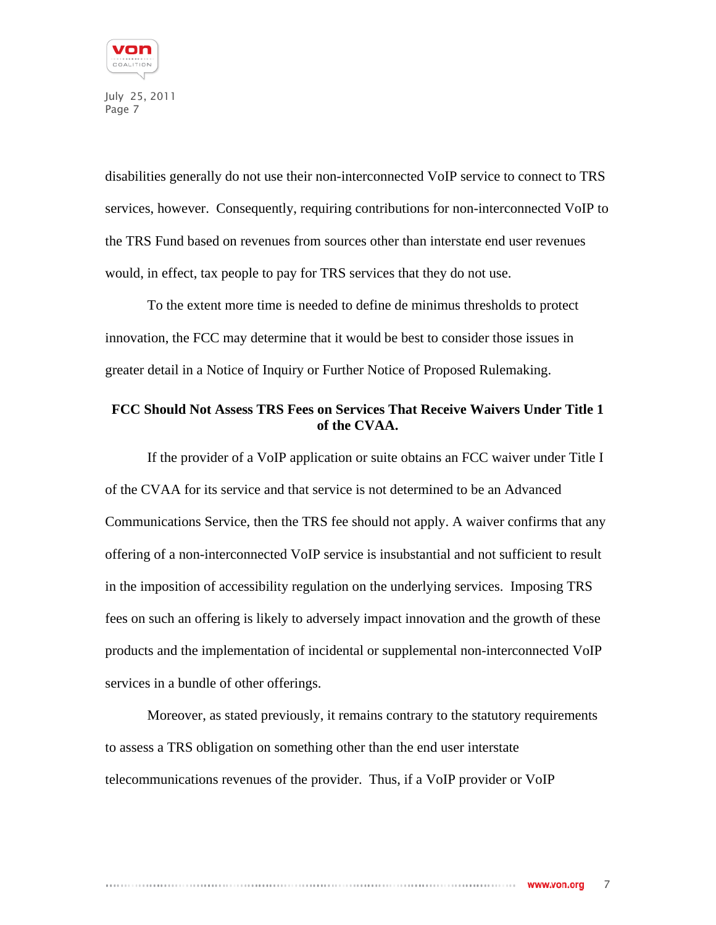

disabilities generally do not use their non-interconnected VoIP service to connect to TRS services, however. Consequently, requiring contributions for non-interconnected VoIP to the TRS Fund based on revenues from sources other than interstate end user revenues would, in effect, tax people to pay for TRS services that they do not use.

To the extent more time is needed to define de minimus thresholds to protect innovation, the FCC may determine that it would be best to consider those issues in greater detail in a Notice of Inquiry or Further Notice of Proposed Rulemaking.

# **FCC Should Not Assess TRS Fees on Services That Receive Waivers Under Title 1 of the CVAA.**

If the provider of a VoIP application or suite obtains an FCC waiver under Title I of the CVAA for its service and that service is not determined to be an Advanced Communications Service, then the TRS fee should not apply. A waiver confirms that any offering of a non-interconnected VoIP service is insubstantial and not sufficient to result in the imposition of accessibility regulation on the underlying services. Imposing TRS fees on such an offering is likely to adversely impact innovation and the growth of these products and the implementation of incidental or supplemental non-interconnected VoIP services in a bundle of other offerings.

Moreover, as stated previously, it remains contrary to the statutory requirements to assess a TRS obligation on something other than the end user interstate telecommunications revenues of the provider. Thus, if a VoIP provider or VoIP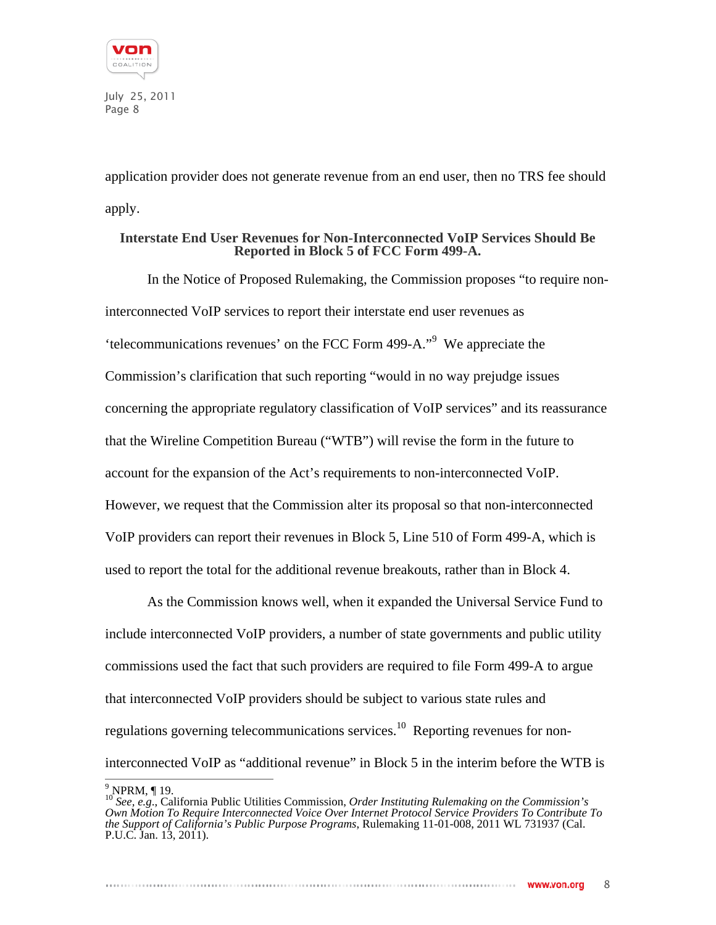

application provider does not generate revenue from an end user, then no TRS fee should apply.

### **Interstate End User Revenues for Non-Interconnected VoIP Services Should Be Reported in Block 5 of FCC Form 499-A.**

In the Notice of Proposed Rulemaking, the Commission proposes "to require noninterconnected VoIP services to report their interstate end user revenues as 'telecommunications revenues' on the FCC Form 499-A."<sup>9</sup> We appreciate the Commission's clarification that such reporting "would in no way prejudge issues concerning the appropriate regulatory classification of VoIP services" and its reassurance that the Wireline Competition Bureau ("WTB") will revise the form in the future to account for the expansion of the Act's requirements to non-interconnected VoIP. However, we request that the Commission alter its proposal so that non-interconnected VoIP providers can report their revenues in Block 5, Line 510 of Form 499-A, which is used to report the total for the additional revenue breakouts, rather than in Block 4.

As the Commission knows well, when it expanded the Universal Service Fund to include interconnected VoIP providers, a number of state governments and public utility commissions used the fact that such providers are required to file Form 499-A to argue that interconnected VoIP providers should be subject to various state rules and regulations governing telecommunications services.<sup>10</sup> Reporting revenues for noninterconnected VoIP as "additional revenue" in Block 5 in the interim before the WTB is

 9 NPRM, ¶ 19. <sup>10</sup> *See, e.g*., California Public Utilities Commission, *Order Instituting Rulemaking on the Commission's Own Motion To Require Interconnected Voice Over Internet Protocol Service Providers To Contribute To the Support of California's Public Purpose Programs*, Rulemaking 11-01-008, 2011 WL 731937 (Cal. P.U.C. Jan. 13, 2011).